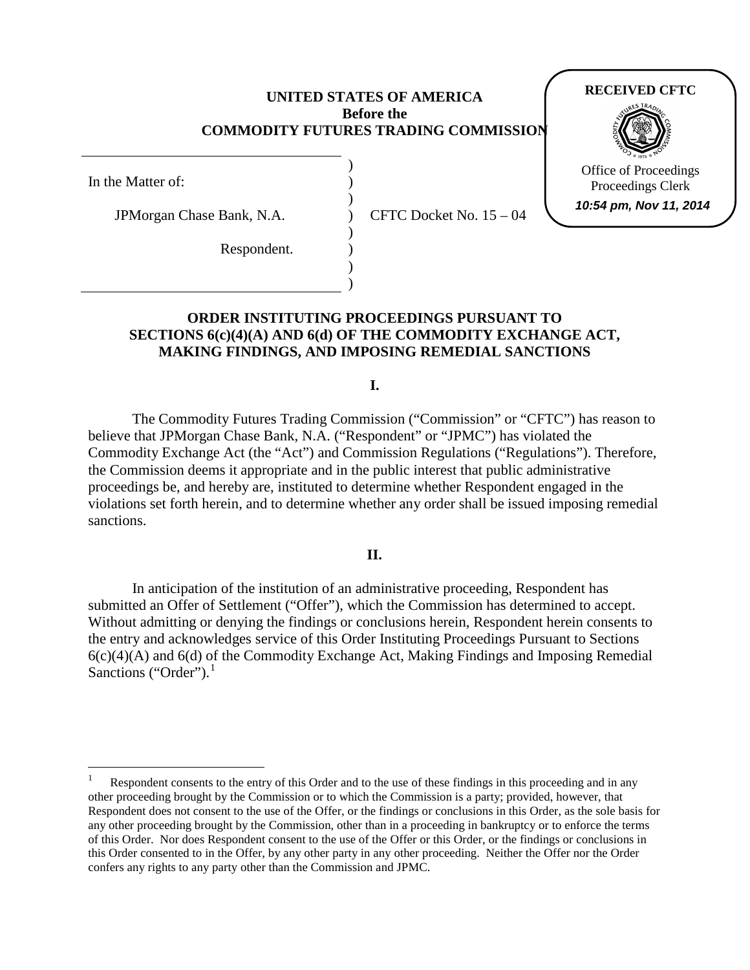### **UNITED STATES OF AMERICA Before the COMMODITY FUTURES TRADING COMMISSION**

) ) ) ) ) ) ) )

In the Matter of:

JPMorgan Chase Bank, N.A.

Respondent.

CFTC Docket No. 15 – 04

# **RECEIVED CFTC**



Office of Proceedings Proceedings Clerk **10:54 pm, Nov 11, 2014**

# **ORDER INSTITUTING PROCEEDINGS PURSUANT TO SECTIONS 6(c)(4)(A) AND 6(d) OF THE COMMODITY EXCHANGE ACT, MAKING FINDINGS, AND IMPOSING REMEDIAL SANCTIONS**

**I.**

The Commodity Futures Trading Commission ("Commission" or "CFTC") has reason to believe that JPMorgan Chase Bank, N.A. ("Respondent" or "JPMC") has violated the Commodity Exchange Act (the "Act") and Commission Regulations ("Regulations"). Therefore, the Commission deems it appropriate and in the public interest that public administrative proceedings be, and hereby are, instituted to determine whether Respondent engaged in the violations set forth herein, and to determine whether any order shall be issued imposing remedial sanctions.

**II.**

In anticipation of the institution of an administrative proceeding, Respondent has submitted an Offer of Settlement ("Offer"), which the Commission has determined to accept. Without admitting or denying the findings or conclusions herein, Respondent herein consents to the entry and acknowledges service of this Order Instituting Proceedings Pursuant to Sections  $6(c)(4)(A)$  and  $6(d)$  of the Commodity Exchange Act, Making Findings and Imposing Remedial Sanctions ("Order").

<span id="page-0-0"></span>Respondent consents to the entry of this Order and to the use of these findings in this proceeding and in any other proceeding brought by the Commission or to which the Commission is a party; provided, however, that Respondent does not consent to the use of the Offer*,* or the findings or conclusions in this Order, as the sole basis for any other proceeding brought by the Commission, other than in a proceeding in bankruptcy or to enforce the terms of this Order. Nor does Respondent consent to the use of the Offer or this Order, or the findings or conclusions in this Order consented to in the Offer, by any other party in any other proceeding. Neither the Offer nor the Order confers any rights to any party other than the Commission and JPMC.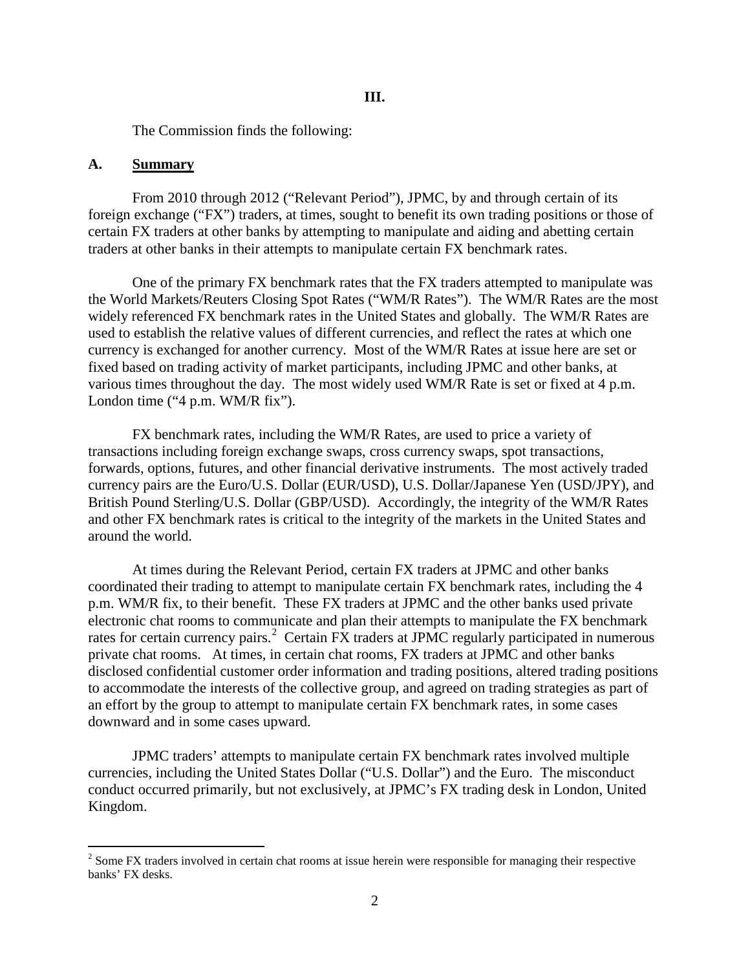The Commission finds the following:

#### **A. Summary**

From 2010 through 2012 ("Relevant Period"), JPMC, by and through certain of its foreign exchange ("FX") traders, at times, sought to benefit its own trading positions or those of certain FX traders at other banks by attempting to manipulate and aiding and abetting certain traders at other banks in their attempts to manipulate certain FX benchmark rates.

One of the primary FX benchmark rates that the FX traders attempted to manipulate was the World Markets/Reuters Closing Spot Rates ("WM/R Rates"). The WM/R Rates are the most widely referenced FX benchmark rates in the United States and globally. The WM/R Rates are used to establish the relative values of different currencies, and reflect the rates at which one currency is exchanged for another currency. Most of the WM/R Rates at issue here are set or fixed based on trading activity of market participants, including JPMC and other banks, at various times throughout the day. The most widely used WM/R Rate is set or fixed at 4 p.m. London time ("4 p.m. WM/R fix").

FX benchmark rates, including the WM/R Rates, are used to price a variety of transactions including foreign exchange swaps, cross currency swaps, spot transactions, forwards, options, futures, and other financial derivative instruments. The most actively traded currency pairs are the Euro/U.S. Dollar (EUR/USD), U.S. Dollar/Japanese Yen (USD/JPY), and British Pound Sterling/U.S. Dollar (GBP/USD). Accordingly, the integrity of the WM/R Rates and other FX benchmark rates is critical to the integrity of the markets in the United States and around the world.

At times during the Relevant Period, certain FX traders at JPMC and other banks coordinated their trading to attempt to manipulate certain FX benchmark rates, including the 4 p.m. WM/R fix, to their benefit. These FX traders at JPMC and the other banks used private electronic chat rooms to communicate and plan their attempts to manipulate the FX benchmark rates for certain currency pairs.<sup>[2](#page-1-0)</sup> Certain FX traders at JPMC regularly participated in numerous private chat rooms. At times, in certain chat rooms, FX traders at JPMC and other banks disclosed confidential customer order information and trading positions, altered trading positions to accommodate the interests of the collective group, and agreed on trading strategies as part of an effort by the group to attempt to manipulate certain FX benchmark rates, in some cases downward and in some cases upward.

JPMC traders' attempts to manipulate certain FX benchmark rates involved multiple currencies, including the United States Dollar ("U.S. Dollar") and the Euro. The misconduct conduct occurred primarily, but not exclusively, at JPMC's FX trading desk in London, United Kingdom.

<span id="page-1-0"></span> $2 \text{ Some FX trades involved in certain chat rooms at issue herein were responsible for managing their respective.}$ banks' FX desks.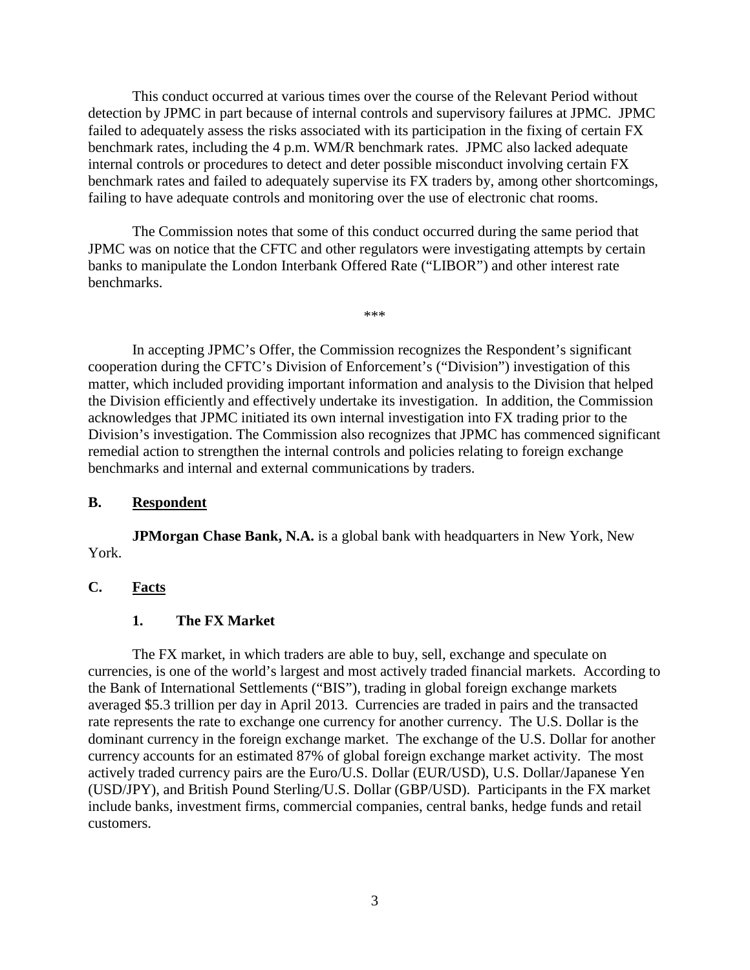This conduct occurred at various times over the course of the Relevant Period without detection by JPMC in part because of internal controls and supervisory failures at JPMC. JPMC failed to adequately assess the risks associated with its participation in the fixing of certain FX benchmark rates, including the 4 p.m. WM/R benchmark rates. JPMC also lacked adequate internal controls or procedures to detect and deter possible misconduct involving certain FX benchmark rates and failed to adequately supervise its FX traders by, among other shortcomings, failing to have adequate controls and monitoring over the use of electronic chat rooms.

The Commission notes that some of this conduct occurred during the same period that JPMC was on notice that the CFTC and other regulators were investigating attempts by certain banks to manipulate the London Interbank Offered Rate ("LIBOR") and other interest rate benchmarks.

\*\*\*

In accepting JPMC's Offer, the Commission recognizes the Respondent's significant cooperation during the CFTC's Division of Enforcement's ("Division") investigation of this matter, which included providing important information and analysis to the Division that helped the Division efficiently and effectively undertake its investigation. In addition, the Commission acknowledges that JPMC initiated its own internal investigation into FX trading prior to the Division's investigation. The Commission also recognizes that JPMC has commenced significant remedial action to strengthen the internal controls and policies relating to foreign exchange benchmarks and internal and external communications by traders.

#### **B. Respondent**

**JPMorgan Chase Bank, N.A.** is a global bank with headquarters in New York, New York.

# **C. Facts**

# **1. The FX Market**

The FX market, in which traders are able to buy, sell, exchange and speculate on currencies, is one of the world's largest and most actively traded financial markets. According to the Bank of International Settlements ("BIS"), trading in global foreign exchange markets averaged \$5.3 trillion per day in April 2013. Currencies are traded in pairs and the transacted rate represents the rate to exchange one currency for another currency. The U.S. Dollar is the dominant currency in the foreign exchange market. The exchange of the U.S. Dollar for another currency accounts for an estimated 87% of global foreign exchange market activity. The most actively traded currency pairs are the Euro/U.S. Dollar (EUR/USD), U.S. Dollar/Japanese Yen (USD/JPY), and British Pound Sterling/U.S. Dollar (GBP/USD). Participants in the FX market include banks, investment firms, commercial companies, central banks, hedge funds and retail customers.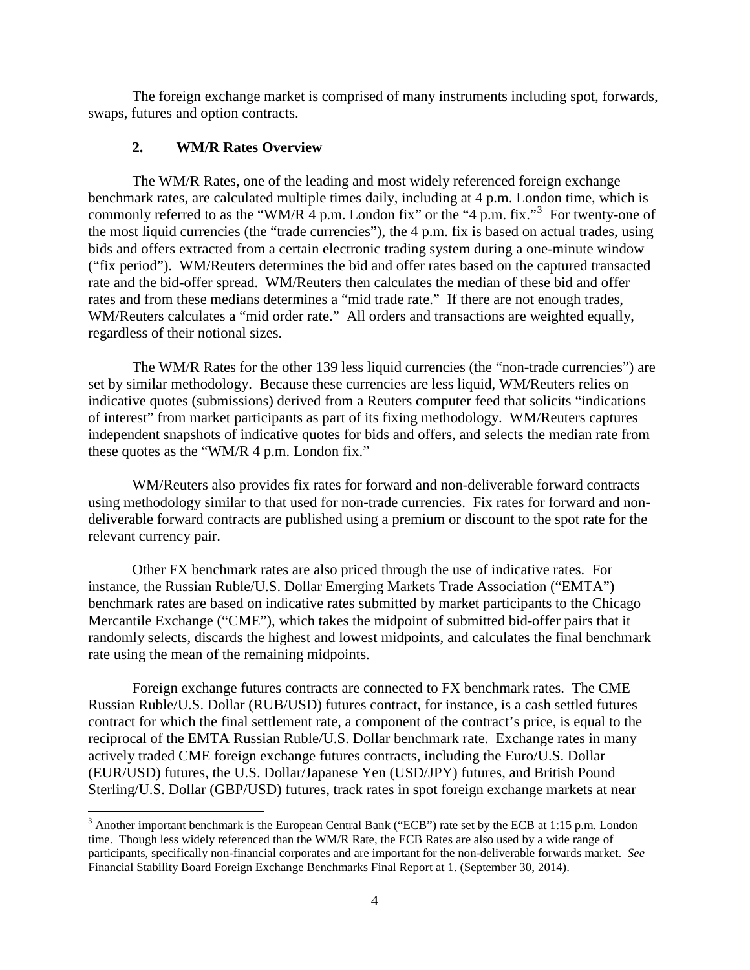The foreign exchange market is comprised of many instruments including spot, forwards, swaps, futures and option contracts.

## **2. WM/R Rates Overview**

The WM/R Rates, one of the leading and most widely referenced foreign exchange benchmark rates, are calculated multiple times daily, including at 4 p.m. London time, which is commonly referred to as the "WM/R  $\overline{4}$  p.m. London fix" or the " $\overline{4}$  p.m. fix."<sup>[3](#page-3-0)</sup> For twenty-one of the most liquid currencies (the "trade currencies"), the 4 p.m. fix is based on actual trades, using bids and offers extracted from a certain electronic trading system during a one-minute window ("fix period"). WM/Reuters determines the bid and offer rates based on the captured transacted rate and the bid-offer spread. WM/Reuters then calculates the median of these bid and offer rates and from these medians determines a "mid trade rate." If there are not enough trades, WM/Reuters calculates a "mid order rate." All orders and transactions are weighted equally, regardless of their notional sizes.

The WM/R Rates for the other 139 less liquid currencies (the "non-trade currencies") are set by similar methodology. Because these currencies are less liquid, WM/Reuters relies on indicative quotes (submissions) derived from a Reuters computer feed that solicits "indications of interest" from market participants as part of its fixing methodology. WM/Reuters captures independent snapshots of indicative quotes for bids and offers, and selects the median rate from these quotes as the "WM/R 4 p.m. London fix."

WM/Reuters also provides fix rates for forward and non-deliverable forward contracts using methodology similar to that used for non-trade currencies. Fix rates for forward and nondeliverable forward contracts are published using a premium or discount to the spot rate for the relevant currency pair.

Other FX benchmark rates are also priced through the use of indicative rates. For instance, the Russian Ruble/U.S. Dollar Emerging Markets Trade Association ("EMTA") benchmark rates are based on indicative rates submitted by market participants to the Chicago Mercantile Exchange ("CME"), which takes the midpoint of submitted bid-offer pairs that it randomly selects, discards the highest and lowest midpoints, and calculates the final benchmark rate using the mean of the remaining midpoints.

Foreign exchange futures contracts are connected to FX benchmark rates. The CME Russian Ruble/U.S. Dollar (RUB/USD) futures contract, for instance, is a cash settled futures contract for which the final settlement rate, a component of the contract's price, is equal to the reciprocal of the EMTA Russian Ruble/U.S. Dollar benchmark rate. Exchange rates in many actively traded CME foreign exchange futures contracts, including the Euro/U.S. Dollar (EUR/USD) futures, the U.S. Dollar/Japanese Yen (USD/JPY) futures, and British Pound Sterling/U.S. Dollar (GBP/USD) futures, track rates in spot foreign exchange markets at near

<span id="page-3-0"></span> $3$  Another important benchmark is the European Central Bank ("ECB") rate set by the ECB at 1:15 p.m. London time. Though less widely referenced than the WM/R Rate, the ECB Rates are also used by a wide range of participants, specifically non-financial corporates and are important for the non-deliverable forwards market. *See*  Financial Stability Board Foreign Exchange Benchmarks Final Report at 1. (September 30, 2014).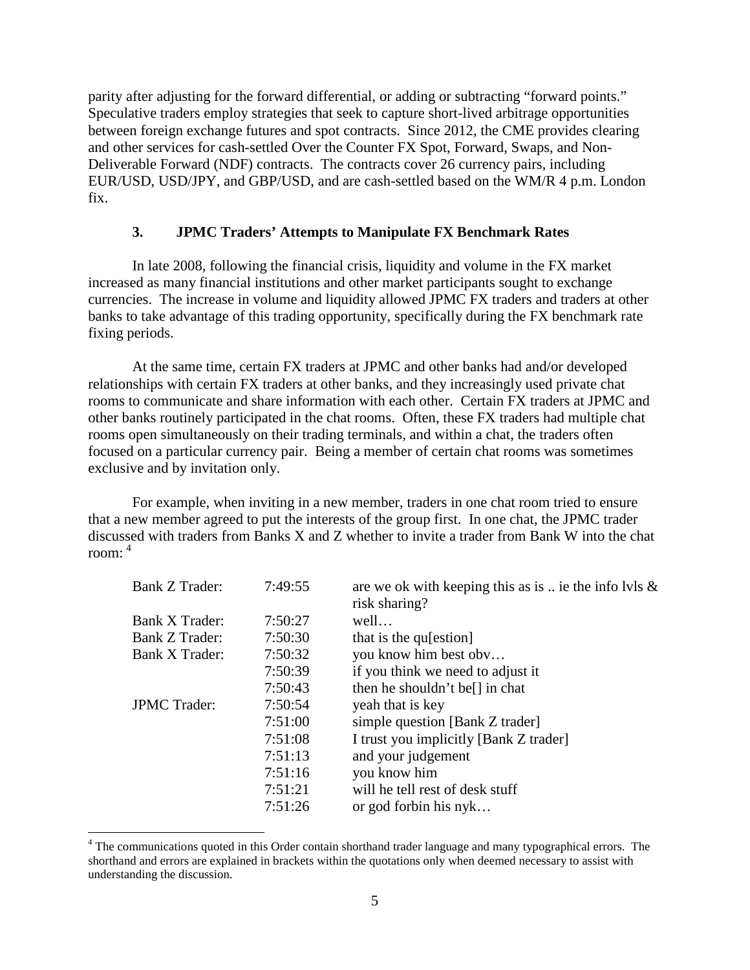parity after adjusting for the forward differential, or adding or subtracting "forward points." Speculative traders employ strategies that seek to capture short-lived arbitrage opportunities between foreign exchange futures and spot contracts. Since 2012, the CME provides clearing and other services for cash-settled Over the Counter FX Spot, Forward, Swaps, and Non-Deliverable Forward (NDF) contracts. The contracts cover 26 currency pairs, including EUR/USD, USD/JPY, and GBP/USD, and are cash-settled based on the WM/R 4 p.m. London fix.

# **3. JPMC Traders' Attempts to Manipulate FX Benchmark Rates**

In late 2008, following the financial crisis, liquidity and volume in the FX market increased as many financial institutions and other market participants sought to exchange currencies. The increase in volume and liquidity allowed JPMC FX traders and traders at other banks to take advantage of this trading opportunity, specifically during the FX benchmark rate fixing periods.

At the same time, certain FX traders at JPMC and other banks had and/or developed relationships with certain FX traders at other banks, and they increasingly used private chat rooms to communicate and share information with each other. Certain FX traders at JPMC and other banks routinely participated in the chat rooms. Often, these FX traders had multiple chat rooms open simultaneously on their trading terminals, and within a chat, the traders often focused on a particular currency pair. Being a member of certain chat rooms was sometimes exclusive and by invitation only.

For example, when inviting in a new member, traders in one chat room tried to ensure that a new member agreed to put the interests of the group first. In one chat, the JPMC trader discussed with traders from Banks X and Z whether to invite a trader from Bank W into the chat room: [4](#page-4-0)

| Bank Z Trader:      | 7:49:55 | are we ok with keeping this as is $\ldots$ ie the info lvls &<br>risk sharing? |
|---------------------|---------|--------------------------------------------------------------------------------|
| Bank X Trader:      | 7:50:27 | well                                                                           |
| Bank Z Trader:      | 7:50:30 | that is the qu[estion]                                                         |
| Bank X Trader:      | 7:50:32 | you know him best obv                                                          |
|                     | 7:50:39 | if you think we need to adjust it                                              |
|                     | 7:50:43 | then he shouldn't be <sup>[]</sup> in chat                                     |
| <b>JPMC</b> Trader: | 7:50:54 | yeah that is key                                                               |
|                     | 7:51:00 | simple question [Bank Z trader]                                                |
|                     | 7:51:08 | I trust you implicitly [Bank Z trader]                                         |
|                     | 7:51:13 | and your judgement                                                             |
|                     | 7:51:16 | you know him                                                                   |
|                     | 7:51:21 | will he tell rest of desk stuff                                                |
|                     | 7:51:26 | or god forbin his $nyk$                                                        |

<span id="page-4-0"></span><sup>&</sup>lt;sup>4</sup> The communications quoted in this Order contain shorthand trader language and many typographical errors. The shorthand and errors are explained in brackets within the quotations only when deemed necessary to assist with understanding the discussion.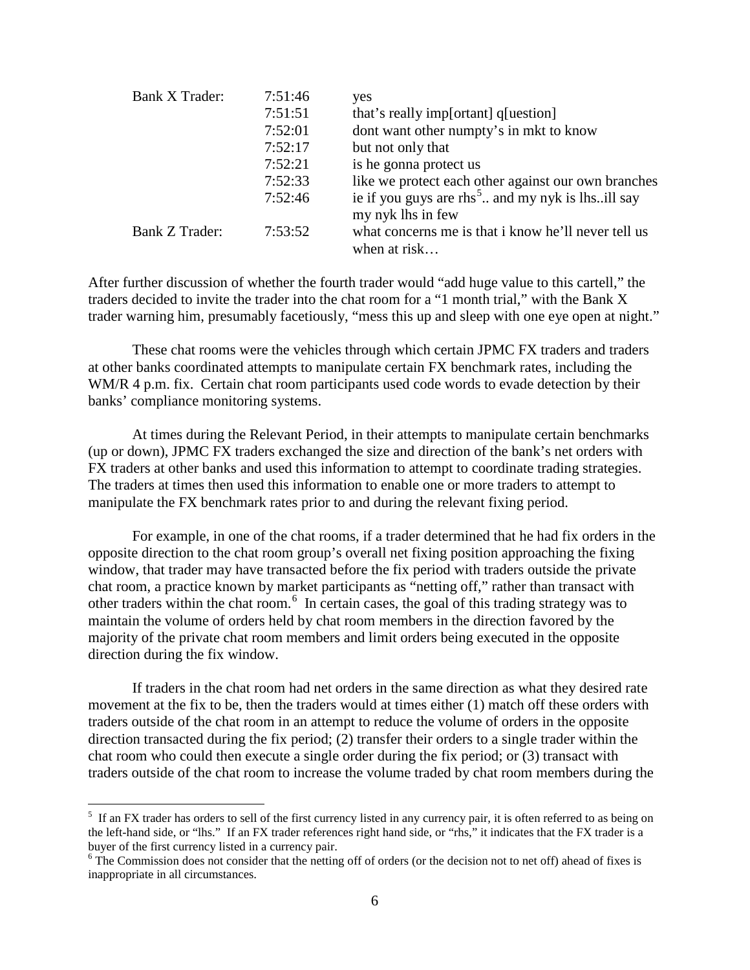| Bank X Trader: | 7:51:46 | yes                                                                               |
|----------------|---------|-----------------------------------------------------------------------------------|
|                | 7:51:51 | that's really imp[ortant] q[uestion]                                              |
|                | 7:52:01 | dont want other numpty's in mkt to know                                           |
|                | 7:52:17 | but not only that                                                                 |
|                | 7:52:21 | is he gonna protect us                                                            |
|                | 7:52:33 | like we protect each other against our own branches                               |
|                | 7:52:46 | ie if you guys are rhs <sup>5</sup> and my nyk is lhsill say<br>my nyk lhs in few |
| Bank Z Trader: | 7:53:52 | what concerns me is that i know he'll never tell us<br>when at risk               |

After further discussion of whether the fourth trader would "add huge value to this cartell," the traders decided to invite the trader into the chat room for a "1 month trial," with the Bank X trader warning him, presumably facetiously, "mess this up and sleep with one eye open at night."

These chat rooms were the vehicles through which certain JPMC FX traders and traders at other banks coordinated attempts to manipulate certain FX benchmark rates, including the WM/R 4 p.m. fix. Certain chat room participants used code words to evade detection by their banks' compliance monitoring systems.

At times during the Relevant Period, in their attempts to manipulate certain benchmarks (up or down), JPMC FX traders exchanged the size and direction of the bank's net orders with FX traders at other banks and used this information to attempt to coordinate trading strategies. The traders at times then used this information to enable one or more traders to attempt to manipulate the FX benchmark rates prior to and during the relevant fixing period.

For example, in one of the chat rooms, if a trader determined that he had fix orders in the opposite direction to the chat room group's overall net fixing position approaching the fixing window, that trader may have transacted before the fix period with traders outside the private chat room, a practice known by market participants as "netting off," rather than transact with other traders within the chat room.[6](#page-5-1) In certain cases, the goal of this trading strategy was to maintain the volume of orders held by chat room members in the direction favored by the majority of the private chat room members and limit orders being executed in the opposite direction during the fix window.

If traders in the chat room had net orders in the same direction as what they desired rate movement at the fix to be, then the traders would at times either (1) match off these orders with traders outside of the chat room in an attempt to reduce the volume of orders in the opposite direction transacted during the fix period; (2) transfer their orders to a single trader within the chat room who could then execute a single order during the fix period; or (3) transact with traders outside of the chat room to increase the volume traded by chat room members during the

<span id="page-5-0"></span> <sup>5</sup> <sup>5</sup> If an FX trader has orders to sell of the first currency listed in any currency pair, it is often referred to as being on the left-hand side, or "lhs." If an FX trader references right hand side, or "rhs," it indicates that the FX trader is a buyer of the first currency listed in a currency pair.<br><sup>6</sup> The Commission does not consider that the netting off of orders (or the decision not to net off) ahead of fixes is

<span id="page-5-1"></span>inappropriate in all circumstances.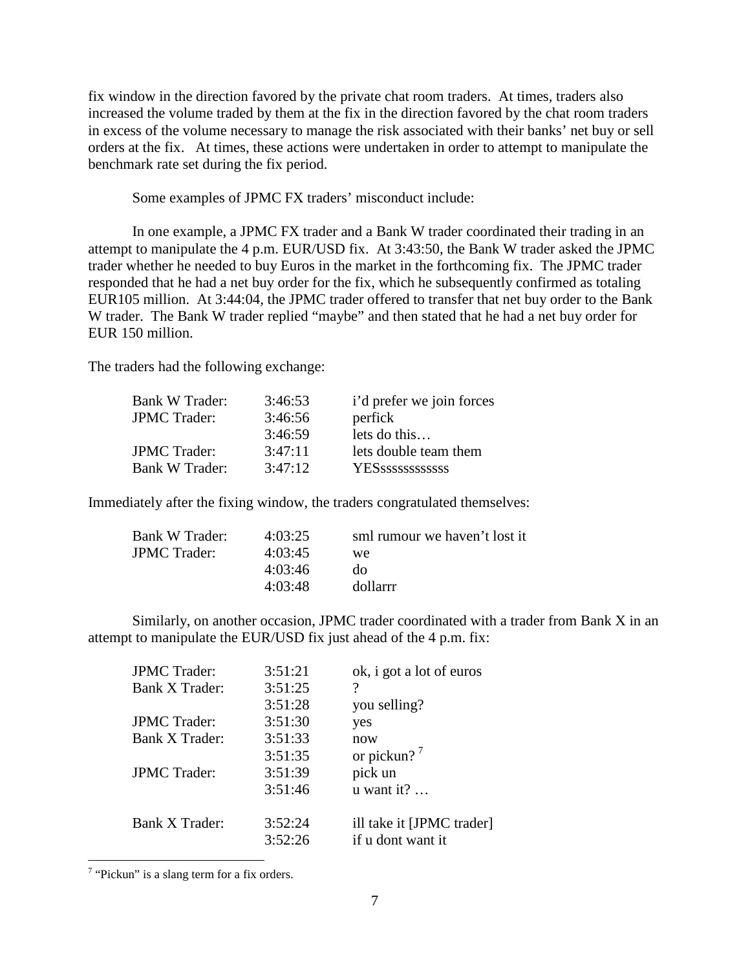fix window in the direction favored by the private chat room traders. At times, traders also increased the volume traded by them at the fix in the direction favored by the chat room traders in excess of the volume necessary to manage the risk associated with their banks' net buy or sell orders at the fix. At times, these actions were undertaken in order to attempt to manipulate the benchmark rate set during the fix period.

Some examples of JPMC FX traders' misconduct include:

In one example, a JPMC FX trader and a Bank W trader coordinated their trading in an attempt to manipulate the 4 p.m. EUR/USD fix. At 3:43:50, the Bank W trader asked the JPMC trader whether he needed to buy Euros in the market in the forthcoming fix. The JPMC trader responded that he had a net buy order for the fix, which he subsequently confirmed as totaling EUR105 million. At 3:44:04, the JPMC trader offered to transfer that net buy order to the Bank W trader. The Bank W trader replied "maybe" and then stated that he had a net buy order for EUR 150 million.

The traders had the following exchange:

| <b>Bank W Trader:</b> | 3:46:53 | i'd prefer we join forces |
|-----------------------|---------|---------------------------|
| <b>JPMC Trader:</b>   | 3:46:56 | perfick                   |
|                       | 3:46:59 | lets do this              |
| <b>JPMC Trader:</b>   | 3:47:11 | lets double team them     |
| <b>Bank W Trader:</b> | 3:47:12 |                           |
|                       |         |                           |

Immediately after the fixing window, the traders congratulated themselves:

| Bank W Trader:      | 4:03:25 | sml rumour we haven't lost it |
|---------------------|---------|-------------------------------|
| <b>JPMC</b> Trader: | 4:03:45 | we                            |
|                     | 4:03:46 | do                            |
|                     | 4:03:48 | dollarrr                      |
|                     |         |                               |

Similarly, on another occasion, JPMC trader coordinated with a trader from Bank X in an attempt to manipulate the EUR/USD fix just ahead of the 4 p.m. fix:

| <b>JPMC</b> Trader:   | 3:51:21 | ok, i got a lot of euros  |
|-----------------------|---------|---------------------------|
| Bank X Trader:        | 3:51:25 | ?                         |
|                       | 3:51:28 | you selling?              |
| <b>JPMC</b> Trader:   | 3:51:30 | yes                       |
| Bank X Trader:        | 3:51:33 | now                       |
|                       | 3:51:35 | or pickun? $'$            |
| <b>JPMC</b> Trader:   | 3:51:39 | pick un                   |
|                       | 3:51:46 | $u$ want it?              |
| <b>Bank X Trader:</b> | 3:52:24 | ill take it [JPMC trader] |
|                       | 3:52:26 | if u dont want it         |

<span id="page-6-0"></span><sup>&</sup>lt;sup>7</sup> "Pickun" is a slang term for a fix orders.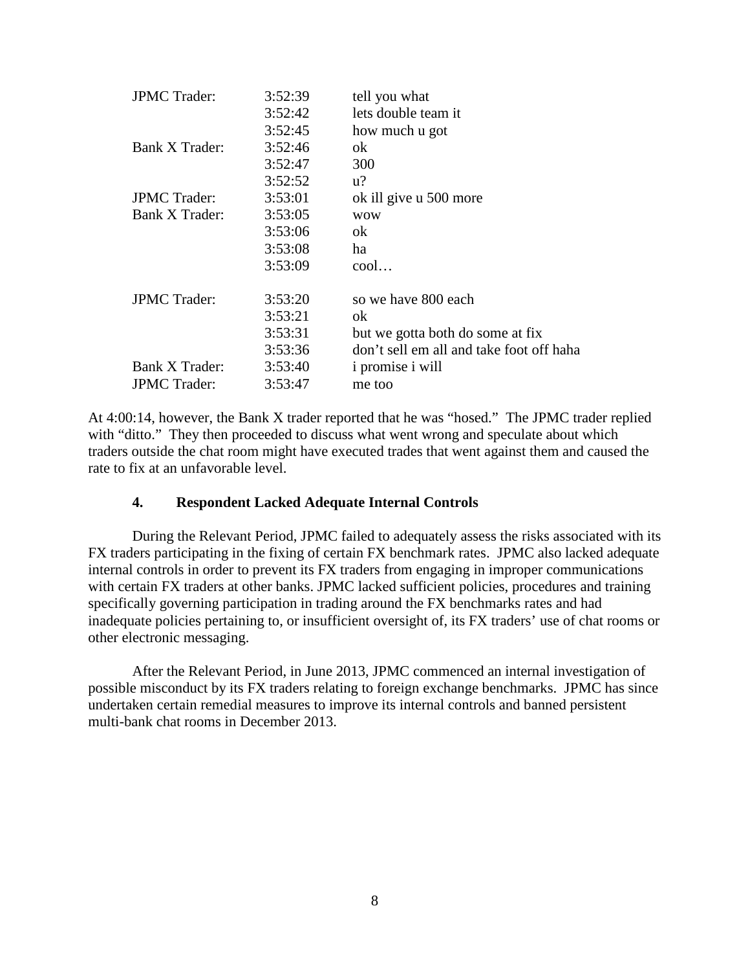| <b>JPMC</b> Trader: | 3:52:39 | tell you what                            |
|---------------------|---------|------------------------------------------|
|                     | 3:52:42 | lets double team it                      |
|                     | 3:52:45 | how much u got                           |
| Bank X Trader:      | 3:52:46 | ok                                       |
|                     | 3:52:47 | 300                                      |
|                     | 3:52:52 | $u$ ?                                    |
| <b>JPMC</b> Trader: | 3:53:01 | ok ill give u 500 more                   |
| Bank X Trader:      | 3:53:05 | <b>WOW</b>                               |
|                     | 3:53:06 | ok                                       |
|                     | 3:53:08 | ha                                       |
|                     | 3:53:09 | $\text{cool} \dots$                      |
| <b>JPMC</b> Trader: | 3:53:20 | so we have 800 each                      |
|                     | 3:53:21 | ok                                       |
|                     | 3:53:31 | but we gotta both do some at fix         |
|                     | 3:53:36 | don't sell em all and take foot off haha |
| Bank X Trader:      | 3:53:40 | <i>i</i> promise <i>i</i> will           |
| <b>JPMC</b> Trader: | 3:53:47 | me too                                   |
|                     |         |                                          |

At 4:00:14, however, the Bank X trader reported that he was "hosed." The JPMC trader replied with "ditto." They then proceeded to discuss what went wrong and speculate about which traders outside the chat room might have executed trades that went against them and caused the rate to fix at an unfavorable level.

# **4. Respondent Lacked Adequate Internal Controls**

During the Relevant Period, JPMC failed to adequately assess the risks associated with its FX traders participating in the fixing of certain FX benchmark rates. JPMC also lacked adequate internal controls in order to prevent its FX traders from engaging in improper communications with certain FX traders at other banks. JPMC lacked sufficient policies, procedures and training specifically governing participation in trading around the FX benchmarks rates and had inadequate policies pertaining to, or insufficient oversight of, its FX traders' use of chat rooms or other electronic messaging.

After the Relevant Period, in June 2013, JPMC commenced an internal investigation of possible misconduct by its FX traders relating to foreign exchange benchmarks. JPMC has since undertaken certain remedial measures to improve its internal controls and banned persistent multi-bank chat rooms in December 2013.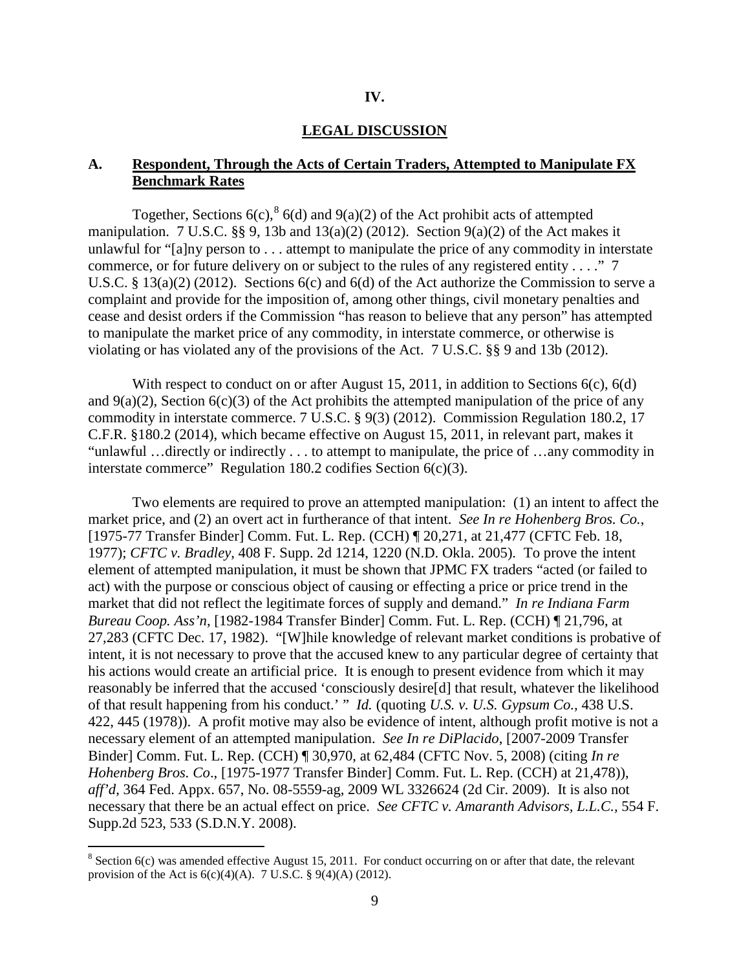#### **IV.**

#### **LEGAL DISCUSSION**

# **A. Respondent, Through the Acts of Certain Traders, Attempted to Manipulate FX Benchmark Rates**

Together, Sections  $6(c)$ ,  $6(d)$  and  $9(a)(2)$  of the Act prohibit acts of attempted manipulation. 7 U.S.C.  $\S$ , 9, 13b and 13(a)(2) (2012). Section 9(a)(2) of the Act makes it unlawful for "[a]ny person to . . . attempt to manipulate the price of any commodity in interstate commerce, or for future delivery on or subject to the rules of any registered entity . . . ." 7 U.S.C. § 13(a)(2) (2012). Sections 6(c) and 6(d) of the Act authorize the Commission to serve a complaint and provide for the imposition of, among other things, civil monetary penalties and cease and desist orders if the Commission "has reason to believe that any person" has attempted to manipulate the market price of any commodity, in interstate commerce, or otherwise is violating or has violated any of the provisions of the Act. 7 U.S.C. §§ 9 and 13b (2012).

With respect to conduct on or after August 15, 2011, in addition to Sections 6(c), 6(d) and  $9(a)(2)$ , Section  $6(c)(3)$  of the Act prohibits the attempted manipulation of the price of any commodity in interstate commerce. 7 U.S.C. § 9(3) (2012). Commission Regulation 180.2, 17 C.F.R. §180.2 (2014), which became effective on August 15, 2011, in relevant part, makes it "unlawful …directly or indirectly . . . to attempt to manipulate, the price of …any commodity in interstate commerce" Regulation 180.2 codifies Section 6(c)(3).

Two elements are required to prove an attempted manipulation: (1) an intent to affect the market price, and (2) an overt act in furtherance of that intent. *See In re Hohenberg Bros. Co.*, [1975-77 Transfer Binder] Comm. Fut. L. Rep. (CCH) ¶ 20,271, at 21,477 (CFTC Feb. 18, 1977); *CFTC v. Bradley*, 408 F. Supp. 2d 1214, 1220 (N.D. Okla. 2005). To prove the intent element of attempted manipulation, it must be shown that JPMC FX traders "acted (or failed to act) with the purpose or conscious object of causing or effecting a price or price trend in the market that did not reflect the legitimate forces of supply and demand." *In re Indiana Farm Bureau Coop. Ass'n*, [1982-1984 Transfer Binder] Comm. Fut. L. Rep. (CCH) ¶ 21,796, at 27,283 (CFTC Dec. 17, 1982). "[W]hile knowledge of relevant market conditions is probative of intent, it is not necessary to prove that the accused knew to any particular degree of certainty that his actions would create an artificial price. It is enough to present evidence from which it may reasonably be inferred that the accused 'consciously desire[d] that result, whatever the likelihood of that result happening from his conduct.' " *Id.* (quoting *U.S. v. U.S. Gypsum Co.,* 438 U.S. 422, 445 (1978)). A profit motive may also be evidence of intent, although profit motive is not a necessary element of an attempted manipulation. *See In re DiPlacido*, [2007-2009 Transfer Binder] Comm. Fut. L. Rep. (CCH) ¶ 30,970, at 62,484 (CFTC Nov. 5, 2008) (citing *In re Hohenberg Bros. Co*., [1975-1977 Transfer Binder] Comm. Fut. L. Rep. (CCH) at 21,478)), *aff'd*, 364 Fed. Appx. 657, No. 08-5559-ag, 2009 WL 3326624 (2d Cir. 2009). It is also not necessary that there be an actual effect on price. *See CFTC v. Amaranth Advisors, L.L.C.,* 554 F. Supp.2d 523, 533 (S.D.N.Y. 2008).

<span id="page-8-0"></span> $8$  Section 6(c) was amended effective August 15, 2011. For conduct occurring on or after that date, the relevant provision of the Act is  $6(c)(4)(A)$ . 7 U.S.C. §  $9(4)(A)$  (2012).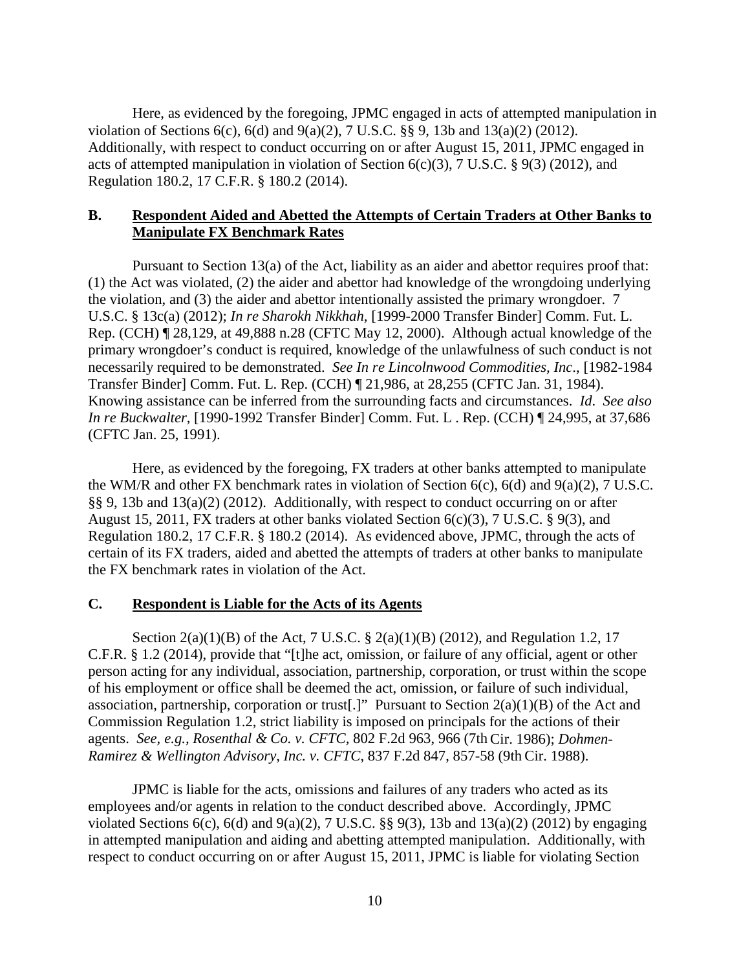Here, as evidenced by the foregoing, JPMC engaged in acts of attempted manipulation in violation of Sections 6(c), 6(d) and 9(a)(2), 7 U.S.C. §§ 9, 13b and 13(a)(2) (2012). Additionally, with respect to conduct occurring on or after August 15, 2011, JPMC engaged in acts of attempted manipulation in violation of Section 6(c)(3), 7 U.S.C. § 9(3) (2012), and Regulation 180.2, 17 C.F.R. § 180.2 (2014).

# **B. Respondent Aided and Abetted the Attempts of Certain Traders at Other Banks to Manipulate FX Benchmark Rates**

Pursuant to Section 13(a) of the Act, liability as an aider and abettor requires proof that: (1) the Act was violated, (2) the aider and abettor had knowledge of the wrongdoing underlying the violation, and (3) the aider and abettor intentionally assisted the primary wrongdoer. 7 U.S.C. § 13c(a) (2012); *In re Sharokh Nikkhah*, [1999-2000 Transfer Binder] Comm. Fut. L. Rep. (CCH) ¶ 28,129, at 49,888 n.28 (CFTC May 12, 2000). Although actual knowledge of the primary wrongdoer's conduct is required, knowledge of the unlawfulness of such conduct is not necessarily required to be demonstrated. *See In re Lincolnwood Commodities, Inc*., [1982-1984 Transfer Binder] Comm. Fut. L. Rep. (CCH) ¶ 21,986, at 28,255 (CFTC Jan. 31, 1984). Knowing assistance can be inferred from the surrounding facts and circumstances. *Id*. *See also In re Buckwalter*, [1990-1992 Transfer Binder] Comm. Fut. L . Rep. (CCH) ¶ 24,995, at 37,686 (CFTC Jan. 25, 1991).

Here, as evidenced by the foregoing, FX traders at other banks attempted to manipulate the WM/R and other FX benchmark rates in violation of Section 6(c), 6(d) and 9(a)(2), 7 U.S.C. §§ 9, 13b and 13(a)(2) (2012). Additionally, with respect to conduct occurring on or after August 15, 2011, FX traders at other banks violated Section 6(c)(3), 7 U.S.C. § 9(3), and Regulation 180.2, 17 C.F.R. § 180.2 (2014). As evidenced above, JPMC, through the acts of certain of its FX traders, aided and abetted the attempts of traders at other banks to manipulate the FX benchmark rates in violation of the Act.

#### **C. Respondent is Liable for the Acts of its Agents**

Section 2(a)(1)(B) of the Act, 7 U.S.C. § 2(a)(1)(B) (2012), and Regulation 1.2, 17 C.F.R. § 1.2 (2014), provide that "[t]he act, omission, or failure of any official, agent or other person acting for any individual, association, partnership, corporation, or trust within the scope of his employment or office shall be deemed the act, omission, or failure of such individual, association, partnership, corporation or trust[.]" Pursuant to Section 2(a)(1)(B) of the Act and Commission Regulation 1.2, strict liability is imposed on principals for the actions of their agents. *See, e.g., Rosenthal & Co. v. CFTC,* 802 F.2d 963, 966 (7th Cir. 1986); *Dohmen-Ramirez & Wellington Advisory, Inc. v. CFTC*, 837 F.2d 847, 857-58 (9th Cir. 1988).

JPMC is liable for the acts, omissions and failures of any traders who acted as its employees and/or agents in relation to the conduct described above. Accordingly, JPMC violated Sections 6(c), 6(d) and 9(a)(2), 7 U.S.C. §§ 9(3), 13b and 13(a)(2) (2012) by engaging in attempted manipulation and aiding and abetting attempted manipulation. Additionally, with respect to conduct occurring on or after August 15, 2011, JPMC is liable for violating Section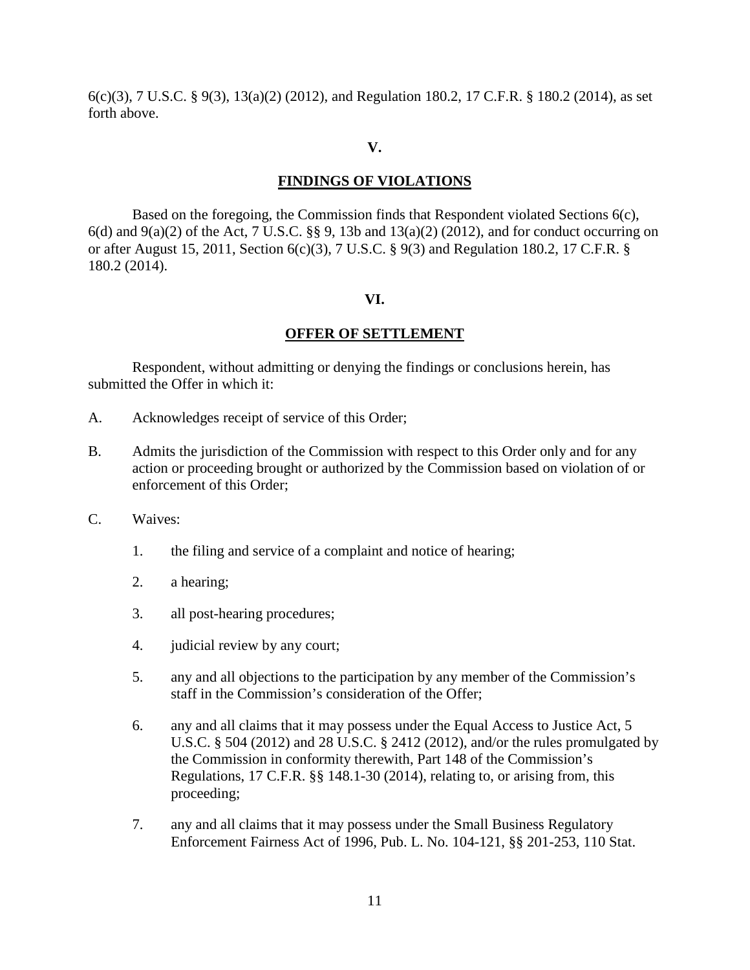6(c)(3), 7 U.S.C. § 9(3), 13(a)(2) (2012), and Regulation 180.2, 17 C.F.R. § 180.2 (2014), as set forth above.

## **V.**

# **FINDINGS OF VIOLATIONS**

Based on the foregoing, the Commission finds that Respondent violated Sections 6(c),  $6(d)$  and  $9(a)(2)$  of the Act, 7 U.S.C. §§ 9, 13b and 13(a)(2) (2012), and for conduct occurring on or after August 15, 2011, Section 6(c)(3), 7 U.S.C. § 9(3) and Regulation 180.2, 17 C.F.R. § 180.2 (2014).

### **VI.**

### **OFFER OF SETTLEMENT**

Respondent, without admitting or denying the findings or conclusions herein, has submitted the Offer in which it:

- A. Acknowledges receipt of service of this Order;
- B. Admits the jurisdiction of the Commission with respect to this Order only and for any action or proceeding brought or authorized by the Commission based on violation of or enforcement of this Order;
- C. Waives:
	- 1. the filing and service of a complaint and notice of hearing;
	- 2. a hearing;
	- 3. all post-hearing procedures;
	- 4. judicial review by any court;
	- 5. any and all objections to the participation by any member of the Commission's staff in the Commission's consideration of the Offer;
	- 6. any and all claims that it may possess under the Equal Access to Justice Act, 5 U.S.C. § 504 (2012) and 28 U.S.C. § 2412 (2012), and/or the rules promulgated by the Commission in conformity therewith, Part 148 of the Commission's Regulations, 17 C.F.R. §§ 148.1-30 (2014), relating to, or arising from, this proceeding;
	- 7. any and all claims that it may possess under the Small Business Regulatory Enforcement Fairness Act of 1996, Pub. L. No. 104-121, §§ 201-253, 110 Stat.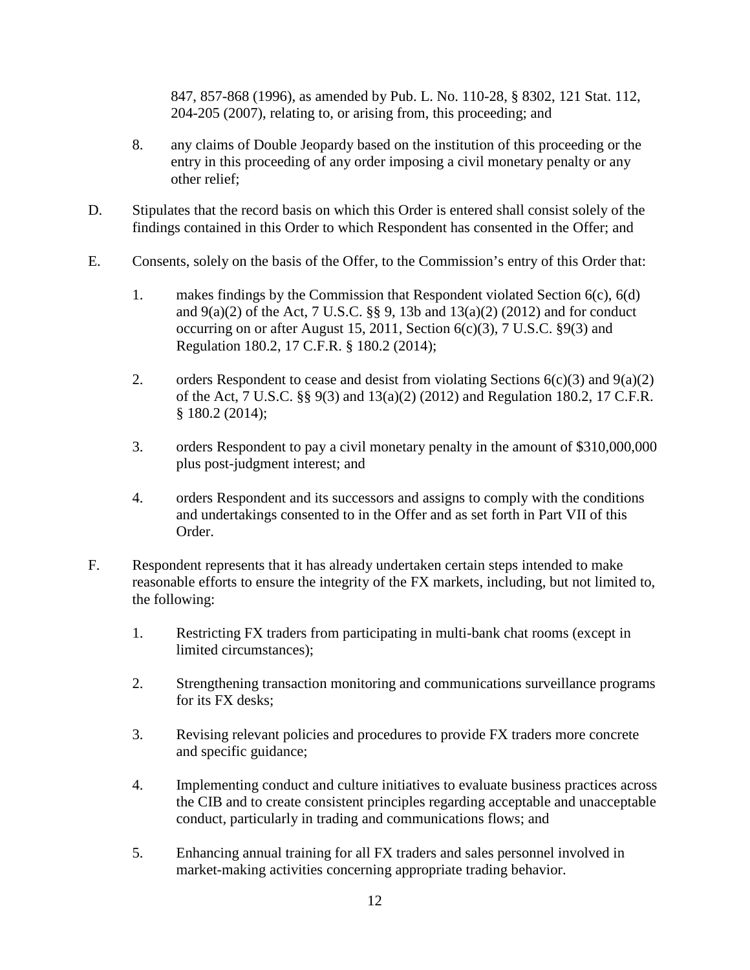847, 857-868 (1996), as amended by Pub. L. No. 110-28, § 8302, 121 Stat. 112, 204-205 (2007), relating to, or arising from, this proceeding; and

- 8. any claims of Double Jeopardy based on the institution of this proceeding or the entry in this proceeding of any order imposing a civil monetary penalty or any other relief;
- D. Stipulates that the record basis on which this Order is entered shall consist solely of the findings contained in this Order to which Respondent has consented in the Offer; and
- E. Consents, solely on the basis of the Offer, to the Commission's entry of this Order that:
	- 1. makes findings by the Commission that Respondent violated Section 6(c), 6(d) and  $9(a)(2)$  of the Act, 7 U.S.C. §§ 9, 13b and 13(a)(2) (2012) and for conduct occurring on or after August 15, 2011, Section  $6(c)(3)$ , 7 U.S.C.  $\S9(3)$  and Regulation 180.2, 17 C.F.R. § 180.2 (2014);
	- 2. orders Respondent to cease and desist from violating Sections  $6(c)(3)$  and  $9(a)(2)$ of the Act, 7 U.S.C. §§ 9(3) and 13(a)(2) (2012) and Regulation 180.2, 17 C.F.R. § 180.2 (2014);
	- 3. orders Respondent to pay a civil monetary penalty in the amount of \$310,000,000 plus post-judgment interest; and
	- 4. orders Respondent and its successors and assigns to comply with the conditions and undertakings consented to in the Offer and as set forth in Part VII of this Order.
- F. Respondent represents that it has already undertaken certain steps intended to make reasonable efforts to ensure the integrity of the FX markets, including, but not limited to, the following:
	- 1. Restricting FX traders from participating in multi-bank chat rooms (except in limited circumstances);
	- 2. Strengthening transaction monitoring and communications surveillance programs for its FX desks;
	- 3. Revising relevant policies and procedures to provide FX traders more concrete and specific guidance;
	- 4. Implementing conduct and culture initiatives to evaluate business practices across the CIB and to create consistent principles regarding acceptable and unacceptable conduct, particularly in trading and communications flows; and
	- 5. Enhancing annual training for all FX traders and sales personnel involved in market-making activities concerning appropriate trading behavior.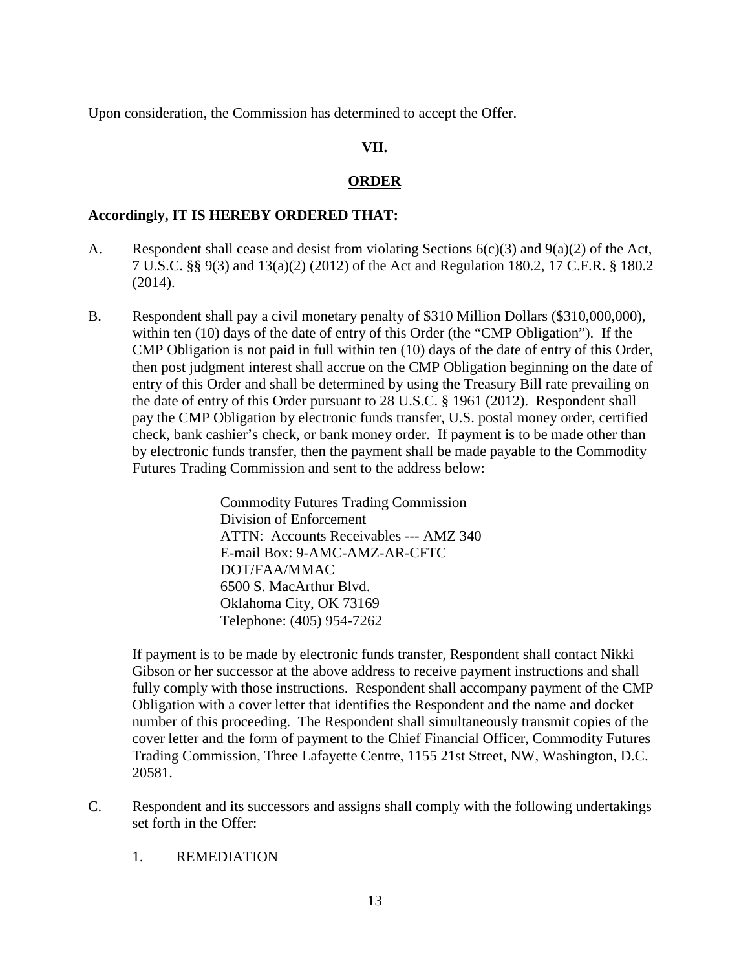Upon consideration, the Commission has determined to accept the Offer.

# **VII.**

# **ORDER**

# **Accordingly, IT IS HEREBY ORDERED THAT:**

- A. Respondent shall cease and desist from violating Sections  $6(c)(3)$  and  $9(a)(2)$  of the Act, 7 U.S.C. §§ 9(3) and 13(a)(2) (2012) of the Act and Regulation 180.2, 17 C.F.R. § 180.2 (2014).
- B. Respondent shall pay a civil monetary penalty of \$310 Million Dollars (\$310,000,000), within ten (10) days of the date of entry of this Order (the "CMP Obligation"). If the CMP Obligation is not paid in full within ten (10) days of the date of entry of this Order, then post judgment interest shall accrue on the CMP Obligation beginning on the date of entry of this Order and shall be determined by using the Treasury Bill rate prevailing on the date of entry of this Order pursuant to 28 U.S.C. § 1961 (2012). Respondent shall pay the CMP Obligation by electronic funds transfer, U.S. postal money order, certified check, bank cashier's check, or bank money order. If payment is to be made other than by electronic funds transfer, then the payment shall be made payable to the Commodity Futures Trading Commission and sent to the address below:

Commodity Futures Trading Commission Division of Enforcement ATTN: Accounts Receivables --- AMZ 340 E-mail Box: 9-AMC-AMZ-AR-CFTC DOT/FAA/MMAC 6500 S. MacArthur Blvd. Oklahoma City, OK 73169 Telephone: (405) 954-7262

If payment is to be made by electronic funds transfer, Respondent shall contact Nikki Gibson or her successor at the above address to receive payment instructions and shall fully comply with those instructions. Respondent shall accompany payment of the CMP Obligation with a cover letter that identifies the Respondent and the name and docket number of this proceeding. The Respondent shall simultaneously transmit copies of the cover letter and the form of payment to the Chief Financial Officer, Commodity Futures Trading Commission, Three Lafayette Centre, 1155 21st Street, NW, Washington, D.C. 20581.

- C. Respondent and its successors and assigns shall comply with the following undertakings set forth in the Offer:
	- 1. REMEDIATION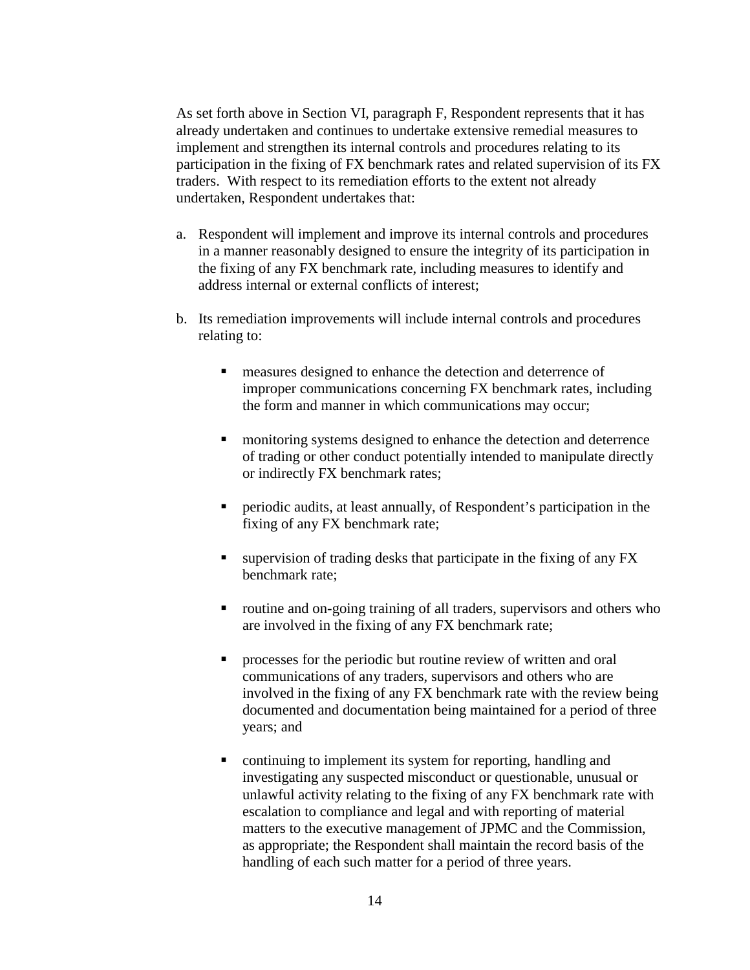As set forth above in Section VI, paragraph F, Respondent represents that it has already undertaken and continues to undertake extensive remedial measures to implement and strengthen its internal controls and procedures relating to its participation in the fixing of FX benchmark rates and related supervision of its FX traders. With respect to its remediation efforts to the extent not already undertaken, Respondent undertakes that:

- a. Respondent will implement and improve its internal controls and procedures in a manner reasonably designed to ensure the integrity of its participation in the fixing of any FX benchmark rate, including measures to identify and address internal or external conflicts of interest;
- b. Its remediation improvements will include internal controls and procedures relating to:
	- **n** measures designed to enhance the detection and deterrence of improper communications concerning FX benchmark rates, including the form and manner in which communications may occur;
	- **EXECUTE:** monitoring systems designed to enhance the detection and deterrence of trading or other conduct potentially intended to manipulate directly or indirectly FX benchmark rates;
	- periodic audits, at least annually, of Respondent's participation in the fixing of any FX benchmark rate;
	- **Exercise 1** supervision of trading desks that participate in the fixing of any FX benchmark rate;
	- routine and on-going training of all traders, supervisors and others who are involved in the fixing of any FX benchmark rate;
	- **PEDIE:** processes for the periodic but routine review of written and oral communications of any traders, supervisors and others who are involved in the fixing of any FX benchmark rate with the review being documented and documentation being maintained for a period of three years; and
	- continuing to implement its system for reporting, handling and investigating any suspected misconduct or questionable, unusual or unlawful activity relating to the fixing of any FX benchmark rate with escalation to compliance and legal and with reporting of material matters to the executive management of JPMC and the Commission, as appropriate; the Respondent shall maintain the record basis of the handling of each such matter for a period of three years.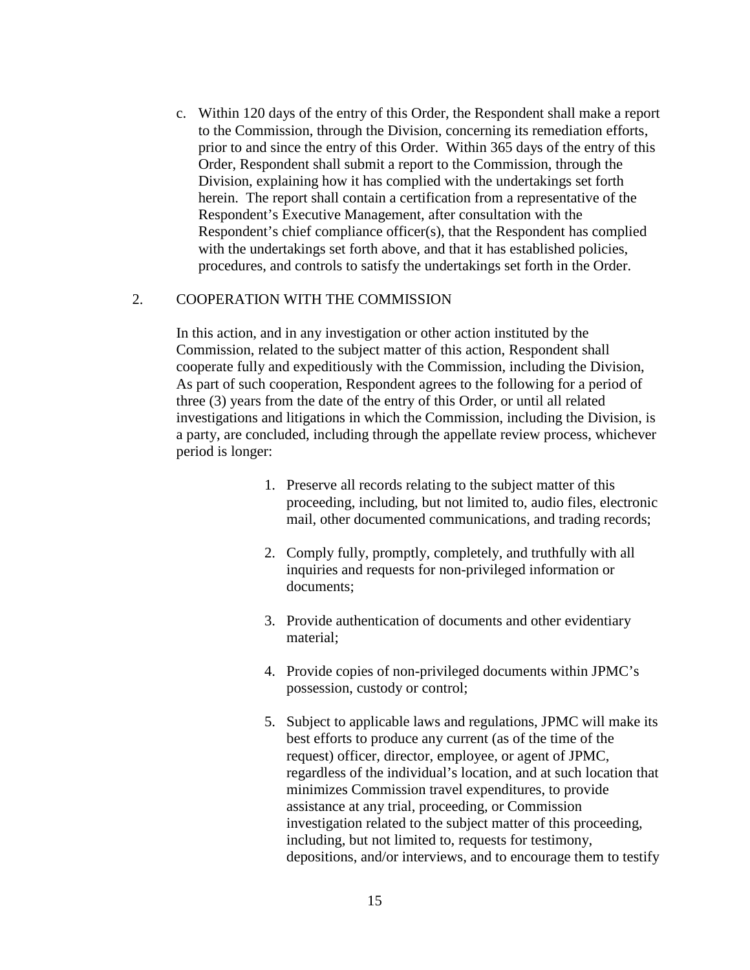c. Within 120 days of the entry of this Order, the Respondent shall make a report to the Commission, through the Division, concerning its remediation efforts, prior to and since the entry of this Order. Within 365 days of the entry of this Order, Respondent shall submit a report to the Commission, through the Division, explaining how it has complied with the undertakings set forth herein. The report shall contain a certification from a representative of the Respondent's Executive Management, after consultation with the Respondent's chief compliance officer(s), that the Respondent has complied with the undertakings set forth above, and that it has established policies, procedures, and controls to satisfy the undertakings set forth in the Order.

# 2. COOPERATION WITH THE COMMISSION

In this action, and in any investigation or other action instituted by the Commission, related to the subject matter of this action, Respondent shall cooperate fully and expeditiously with the Commission, including the Division, As part of such cooperation, Respondent agrees to the following for a period of three (3) years from the date of the entry of this Order, or until all related investigations and litigations in which the Commission, including the Division, is a party, are concluded, including through the appellate review process, whichever period is longer:

- 1. Preserve all records relating to the subject matter of this proceeding, including, but not limited to, audio files, electronic mail, other documented communications, and trading records;
- 2. Comply fully, promptly, completely, and truthfully with all inquiries and requests for non-privileged information or documents;
- 3. Provide authentication of documents and other evidentiary material;
- 4. Provide copies of non-privileged documents within JPMC's possession, custody or control;
- 5. Subject to applicable laws and regulations, JPMC will make its best efforts to produce any current (as of the time of the request) officer, director, employee, or agent of JPMC, regardless of the individual's location, and at such location that minimizes Commission travel expenditures, to provide assistance at any trial, proceeding, or Commission investigation related to the subject matter of this proceeding, including, but not limited to, requests for testimony, depositions, and/or interviews, and to encourage them to testify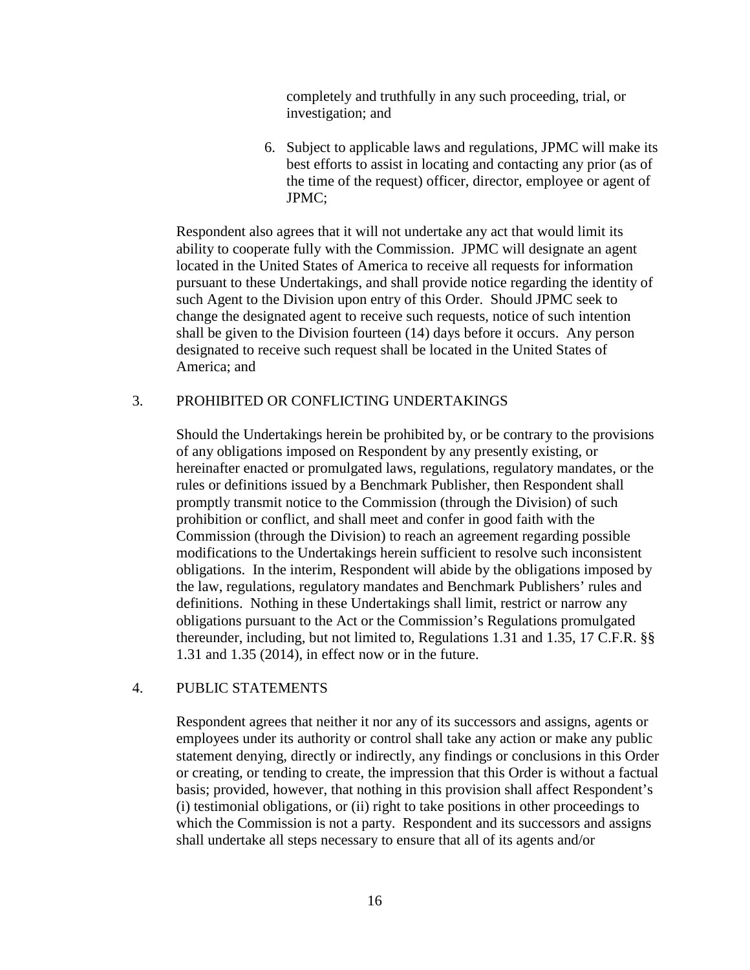completely and truthfully in any such proceeding, trial, or investigation; and

6. Subject to applicable laws and regulations, JPMC will make its best efforts to assist in locating and contacting any prior (as of the time of the request) officer, director, employee or agent of JPMC;

Respondent also agrees that it will not undertake any act that would limit its ability to cooperate fully with the Commission. JPMC will designate an agent located in the United States of America to receive all requests for information pursuant to these Undertakings, and shall provide notice regarding the identity of such Agent to the Division upon entry of this Order. Should JPMC seek to change the designated agent to receive such requests, notice of such intention shall be given to the Division fourteen (14) days before it occurs. Any person designated to receive such request shall be located in the United States of America; and

# 3. PROHIBITED OR CONFLICTING UNDERTAKINGS

Should the Undertakings herein be prohibited by, or be contrary to the provisions of any obligations imposed on Respondent by any presently existing, or hereinafter enacted or promulgated laws, regulations, regulatory mandates, or the rules or definitions issued by a Benchmark Publisher, then Respondent shall promptly transmit notice to the Commission (through the Division) of such prohibition or conflict, and shall meet and confer in good faith with the Commission (through the Division) to reach an agreement regarding possible modifications to the Undertakings herein sufficient to resolve such inconsistent obligations. In the interim, Respondent will abide by the obligations imposed by the law, regulations, regulatory mandates and Benchmark Publishers' rules and definitions. Nothing in these Undertakings shall limit, restrict or narrow any obligations pursuant to the Act or the Commission's Regulations promulgated thereunder, including, but not limited to, Regulations 1.31 and 1.35, 17 C.F.R. §§ 1.31 and 1.35 (2014), in effect now or in the future.

# 4. PUBLIC STATEMENTS

Respondent agrees that neither it nor any of its successors and assigns, agents or employees under its authority or control shall take any action or make any public statement denying, directly or indirectly, any findings or conclusions in this Order or creating, or tending to create, the impression that this Order is without a factual basis; provided, however, that nothing in this provision shall affect Respondent's (i) testimonial obligations, or (ii) right to take positions in other proceedings to which the Commission is not a party. Respondent and its successors and assigns shall undertake all steps necessary to ensure that all of its agents and/or